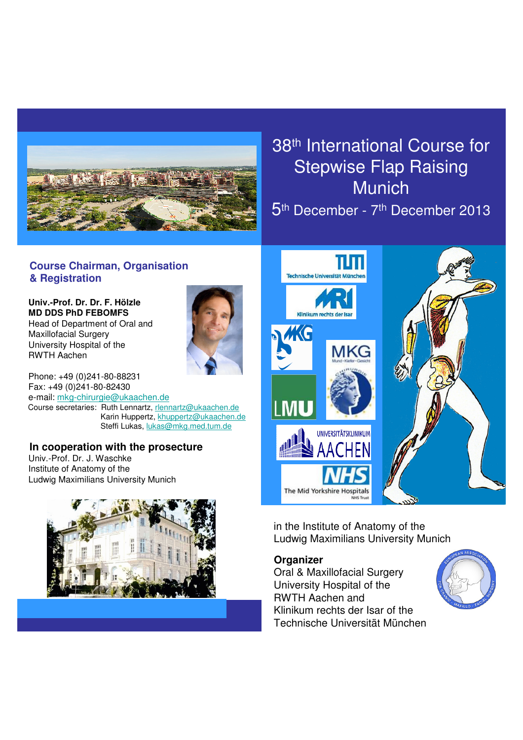

# 38th International Course for Stepwise Flap Raising Munich

5th December - 7th December 2013

## **Course Chairman, Organisation & Registration**

**Univ.-Prof. Dr. Dr. F. Hölzle MD DDS PhD FEBOMFS** Head of Department of Oral and Maxillofacial Surgery University Hospital of the RWTH Aachen



Phone: +49 (0)241-80-88231 Fax: +49 (0)241-80-82430 e-mail: mkg-chirurgie@ukaachen.de Course secretaries: Ruth Lennartz, rlennartz@ukaachen.de Karin Huppertz, khuppertz@ukaachen.de Steffi Lukas, lukas@mkg.med.tum.de

#### **In cooperation with the prosecture** Univ.-Prof. Dr. J. Waschke

Institute of Anatomy of the Ludwig Maximilians University Munich





in the Institute of Anatomy of the Ludwig Maximilians University Munich

# **Organizer**

Oral & Maxillofacial Surgery University Hospital of the RWTH Aachen and Klinikum rechts der Isar of the Technische Universität München